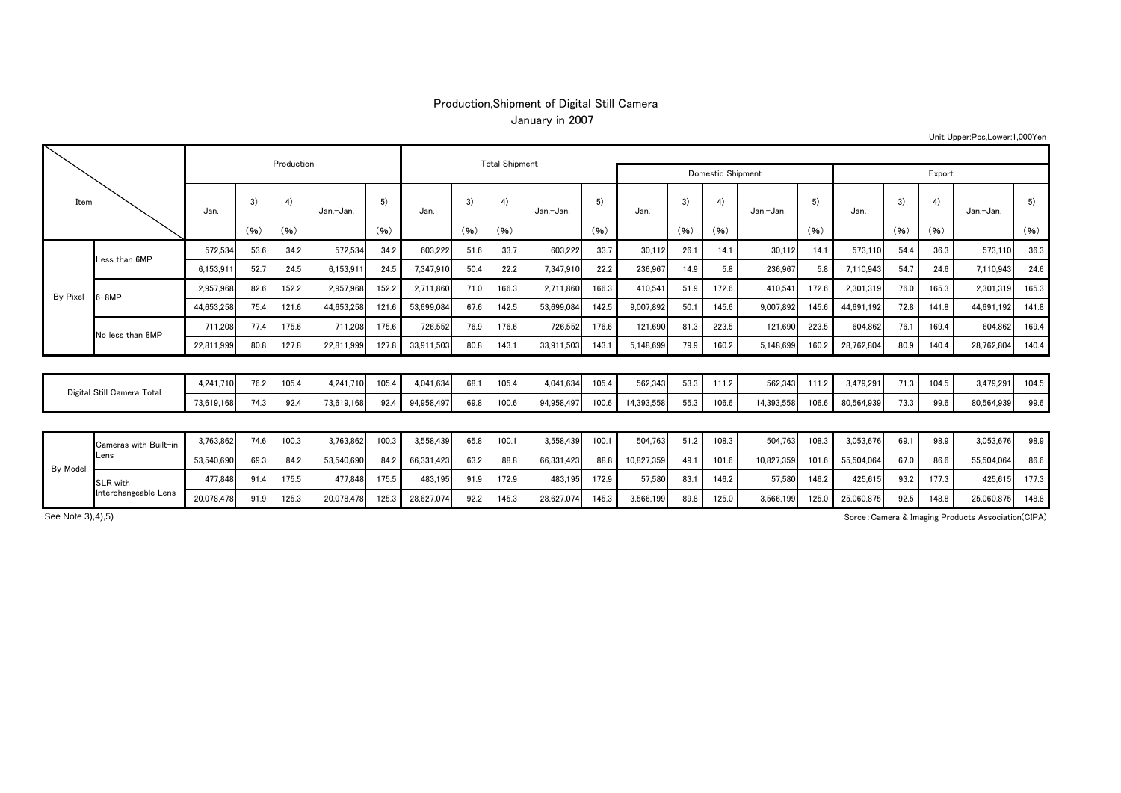## Production,Shipment of Digital Still Camera January in 2007

|                            |                       |            |      | Production |            |       |            | <b>Total Shipment</b> |       |            |       |            |      |       |            |       |            |      |       |            |       |
|----------------------------|-----------------------|------------|------|------------|------------|-------|------------|-----------------------|-------|------------|-------|------------|------|-------|------------|-------|------------|------|-------|------------|-------|
|                            |                       |            |      |            |            |       |            | Domestic Shipment     |       | Export     |       |            |      |       |            |       |            |      |       |            |       |
| Item                       |                       | Jan.       | 3)   | 4)         | Jan.-Jan.  | 5)    | Jan.       | 3)                    | 4)    | Jan.-Jan.  | 5)    | Jan.       | 3)   | 4)    | Jan.-Jan.  | 5)    | Jan.       | 3)   | 4)    | Jan.-Jan.  | 5)    |
|                            |                       |            | (96) | (96)       |            | (96)  |            | (96)                  | (96)  |            | (96)  |            | (96) | (96)  |            | (96)  |            | (96) | (96)  |            | (96)  |
| By Pixe                    | Less than 6MP         | 572.534    | 53.6 | 34.2       | 572.534    | 34.2  | 603.222    | 51.6                  | 33.7  | 603.222    | 33.7  | 30.112     | 26.1 | 14.1  | 30.112     | 14.1  | 573,110    | 54.4 | 36.3  | 573.110    | 36.3  |
|                            |                       | 6,153,911  | 52.7 | 24.5       | 6,153,91   | 24.5  | 7,347,910  | 50.4                  | 22.2  | 7,347,910  | 22.2  | 236.967    | 14.9 | 5.8   | 236.967    | 5.8   | 7,110,943  | 54.7 | 24.6  | 7.110.943  | 24.6  |
|                            | $6 - 8MP$             | 2.957.968  | 82.6 | 152.2      | 2.957.968  | 152.2 | 2.711.860  | 71.0                  | 166.3 | 2.711.860  | 166.3 | 410.541    | 51.9 | 172.6 | 410.541    | 172.6 | 2,301,319  | 76.0 | 165.3 | 2.301.319  | 165.3 |
|                            |                       | 44.653.258 | 75.4 | 121.6      | 44.653.258 | 121.6 | 53.699.084 | 67.6                  | 142.5 | 53.699.084 | 142.5 | 9.007.892  | 50.1 | 145.6 | 9.007.892  | 145.6 | 44.691.192 | 72.8 | 141.8 | 44.691.192 | 141.8 |
|                            | No less than 8MP      | 711.208    | 77.4 | 175.6      | 711.208    | 175.6 | 726,552    | 76.9                  | 176.6 | 726.552    | 176.6 | 121,690    | 81.3 | 223.5 | 121,690    | 223.5 | 604,862    | 76.1 | 169.4 | 604.862    | 169.4 |
|                            |                       | 22.811.999 | 80.8 | 127.8      | 22.811.999 | 127.8 | 33,911,503 | 80.8                  | 143.1 | 33.911.503 | 143.1 | 5,148,699  | 79.9 | 160.2 | 5,148,699  | 160.2 | 28,762,804 | 80.9 | 140.4 | 28,762,804 | 140.4 |
|                            |                       |            |      |            |            |       |            |                       |       |            |       |            |      |       |            |       |            |      |       |            |       |
| Digital Still Camera Total |                       | 4.241.710  | 76.2 | 105.4      | 4.241.710  | 105.4 | 4,041,634  | 68.1                  | 105.4 | 4,041,634  | 105.4 | 562,343    | 53.3 | 111.2 | 562,343    | 111.2 | 3,479,291  | 71.3 | 104.5 | 3,479,291  | 104.5 |
|                            |                       | 73.619.168 | 74.3 | 92.4       | 73.619.168 | 92.4  | 94.958.497 | 69.8                  | 100.6 | 94.958.497 | 100.6 | 14.393.558 | 55.3 | 106.6 | 14,393,558 | 106.6 | 80,564,939 | 73.3 | 99.6  | 80.564.939 | 99.6  |
|                            |                       |            |      |            |            |       |            |                       |       |            |       |            |      |       |            |       |            |      |       |            |       |
| By Model                   | Cameras with Built-in | 3.763.862  | 74.6 | 100.3      | 3.763.862  | 100.3 | 3.558.439  | 65.8                  | 100.1 | 3.558.439  | 100.1 | 504.763    | 51.2 | 108.3 | 504.763    | 108.3 | 3,053,676  | 69.1 | 98.9  | 3.053.676  | 98.9  |
|                            | Lens                  | 53.540.690 | 69.3 | 84.2       | 53.540.690 | 84.2  | 66,331,423 | 63.2                  | 88.8  | 66.331.423 | 88.8  | 10.827.359 | 49.1 | 101.6 | 10.827.359 | 101.6 | 55,504,064 | 67.0 | 86.6  | 55.504.064 | 86.6  |
|                            | SLR with              | 477.848    | 91.4 | 175.5      | 477.848    | 175.5 | 483,195    | 91.9                  | 172.9 | 483,195    | 172.9 | 57,580     | 83.1 | 146.2 | 57,580     | 146.2 | 425,615    | 93.2 | 177.3 | 425,615    | 177.3 |

20,078,478 91.9 125.3 20,078,478 125.3 28,627,074 92.2 145.3 28,627,074 145.3 3,566,199 89.8 125.0 3,566,199 125.0 25,060,875 92.5 148.8 25,060,875 148.8

Unit Upper:Pcs,Lower:1,000Yen

Sorce:Camera & Imaging Products Association(CIPA)

See Note 3),4),5)

Interchangeable Lens